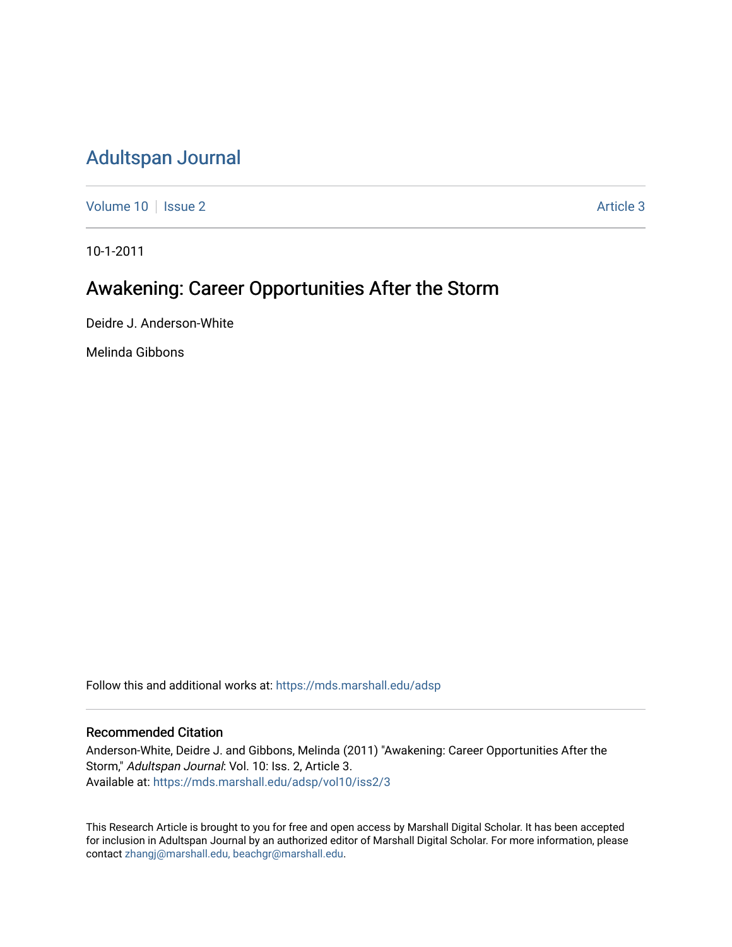# [Adultspan Journal](https://mds.marshall.edu/adsp)

[Volume 10](https://mds.marshall.edu/adsp/vol10) | [Issue 2](https://mds.marshall.edu/adsp/vol10/iss2) Article 3

10-1-2011

# Awakening: Career Opportunities After the Storm

Deidre J. Anderson-White

Melinda Gibbons

Follow this and additional works at: [https://mds.marshall.edu/adsp](https://mds.marshall.edu/adsp?utm_source=mds.marshall.edu%2Fadsp%2Fvol10%2Fiss2%2F3&utm_medium=PDF&utm_campaign=PDFCoverPages) 

#### Recommended Citation

Anderson-White, Deidre J. and Gibbons, Melinda (2011) "Awakening: Career Opportunities After the Storm," Adultspan Journal: Vol. 10: Iss. 2, Article 3. Available at: [https://mds.marshall.edu/adsp/vol10/iss2/3](https://mds.marshall.edu/adsp/vol10/iss2/3?utm_source=mds.marshall.edu%2Fadsp%2Fvol10%2Fiss2%2F3&utm_medium=PDF&utm_campaign=PDFCoverPages) 

This Research Article is brought to you for free and open access by Marshall Digital Scholar. It has been accepted for inclusion in Adultspan Journal by an authorized editor of Marshall Digital Scholar. For more information, please contact [zhangj@marshall.edu, beachgr@marshall.edu](mailto:zhangj@marshall.edu,%20beachgr@marshall.edu).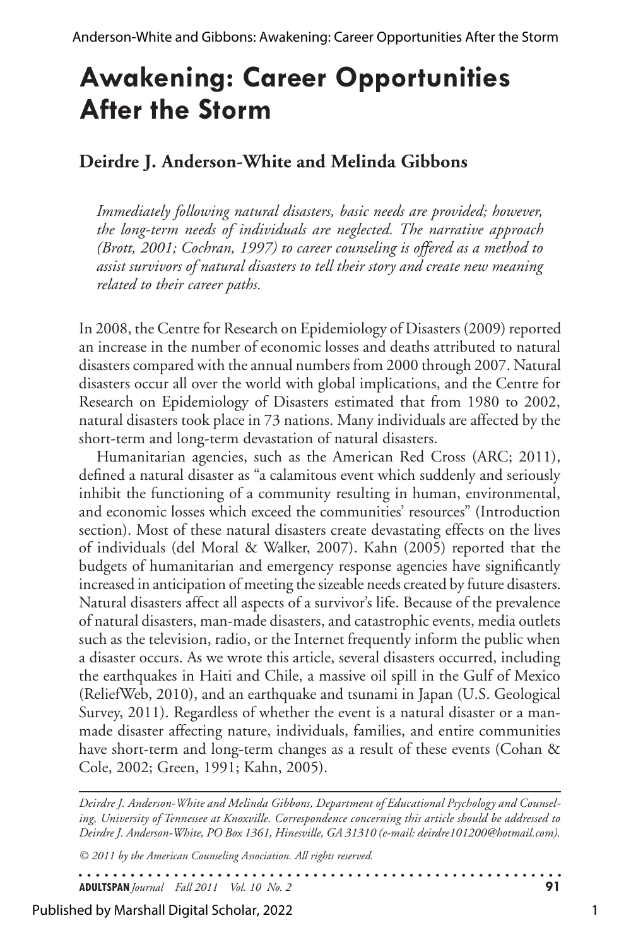# **Awakening: Career Opportunities After the Storm**

## **Deirdre J. Anderson-White and Melinda Gibbons**

*Immediately following natural disasters, basic needs are provided; however, the long-term needs of individuals are neglected. The narrative approach (Brott, 2001; Cochran, 1997) to career counseling is offered as a method to assist survivors of natural disasters to tell their story and create new meaning related to their career paths.*

In 2008, the Centre for Research on Epidemiology of Disasters (2009) reported an increase in the number of economic losses and deaths attributed to natural disasters compared with the annual numbers from 2000 through 2007. Natural disasters occur all over the world with global implications, and the Centre for Research on Epidemiology of Disasters estimated that from 1980 to 2002, natural disasters took place in 73 nations. Many individuals are affected by the short-term and long-term devastation of natural disasters.

Humanitarian agencies, such as the American Red Cross (ARC; 2011), defined a natural disaster as "a calamitous event which suddenly and seriously inhibit the functioning of a community resulting in human, environmental, and economic losses which exceed the communities' resources" (Introduction section). Most of these natural disasters create devastating effects on the lives of individuals (del Moral & Walker, 2007). Kahn (2005) reported that the budgets of humanitarian and emergency response agencies have significantly increased in anticipation of meeting the sizeable needs created by future disasters. Natural disasters affect all aspects of a survivor's life. Because of the prevalence of natural disasters, man-made disasters, and catastrophic events, media outlets such as the television, radio, or the Internet frequently inform the public when a disaster occurs. As we wrote this article, several disasters occurred, including the earthquakes in Haiti and Chile, a massive oil spill in the Gulf of Mexico (ReliefWeb, 2010), and an earthquake and tsunami in Japan (U.S. Geological Survey, 2011). Regardless of whether the event is a natural disaster or a manmade disaster affecting nature, individuals, families, and entire communities have short-term and long-term changes as a result of these events (Cohan & Cole, 2002; Green, 1991; Kahn, 2005).

*Deirdre J. Anderson-White and Melinda Gibbons, Department of Educational Psychology and Counseling, University of Tennessee at Knoxville. Correspondence concerning this article should be addressed to Deirdre J. Anderson-White, PO Box 1361, Hinesville, GA 31310 (e-mail: deirdre101200@hotmail.com).* 

*© 2011 by the American Counseling Association. All rights reserved.*

. . . . . . . . . . . . . . . . . . . . **ADULTSPAN***Journal Fall 2011 Vol. 10 No. 2* **91**

Published by Marshall Digital Scholar, 2022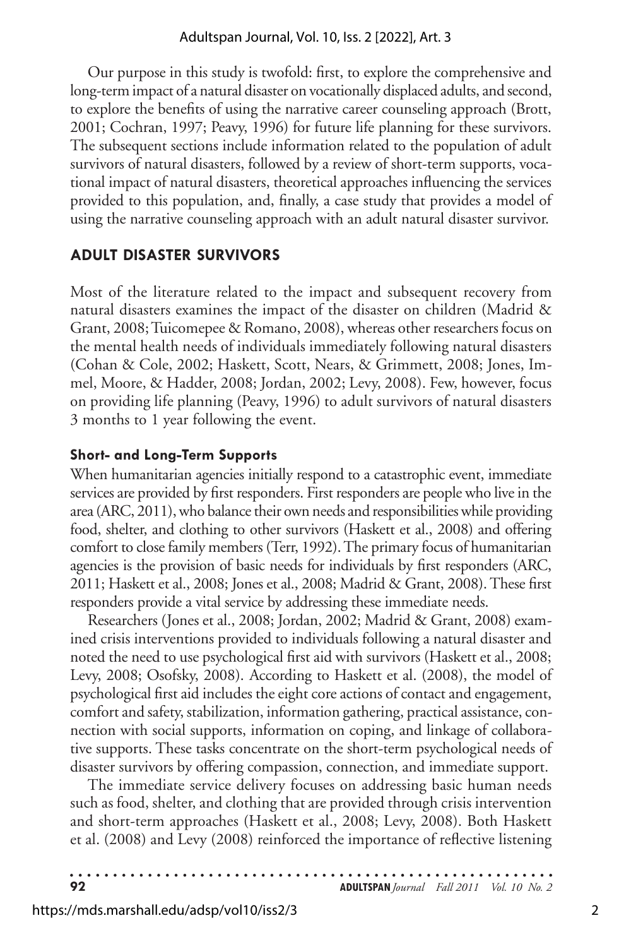Our purpose in this study is twofold: first, to explore the comprehensive and long-term impact of a natural disaster on vocationally displaced adults, and second, to explore the benefits of using the narrative career counseling approach (Brott, 2001; Cochran, 1997; Peavy, 1996) for future life planning for these survivors. The subsequent sections include information related to the population of adult survivors of natural disasters, followed by a review of short-term supports, vocational impact of natural disasters, theoretical approaches influencing the services provided to this population, and, finally, a case study that provides a model of using the narrative counseling approach with an adult natural disaster survivor.

### **Adult Disaster Survivors**

Most of the literature related to the impact and subsequent recovery from natural disasters examines the impact of the disaster on children (Madrid & Grant, 2008; Tuicomepee & Romano, 2008), whereas other researchers focus on the mental health needs of individuals immediately following natural disasters (Cohan & Cole, 2002; Haskett, Scott, Nears, & Grimmett, 2008; Jones, Immel, Moore, & Hadder, 2008; Jordan, 2002; Levy, 2008). Few, however, focus on providing life planning (Peavy, 1996) to adult survivors of natural disasters 3 months to 1 year following the event.

#### **Short- and Long-Term Supports**

When humanitarian agencies initially respond to a catastrophic event, immediate services are provided by first responders. First responders are people who live in the area (ARC, 2011), who balance their own needs and responsibilities while providing food, shelter, and clothing to other survivors (Haskett et al., 2008) and offering comfort to close family members (Terr, 1992). The primary focus of humanitarian agencies is the provision of basic needs for individuals by first responders (ARC, 2011; Haskett et al., 2008; Jones et al., 2008; Madrid & Grant, 2008). These first responders provide a vital service by addressing these immediate needs.

Researchers (Jones et al., 2008; Jordan, 2002; Madrid & Grant, 2008) examined crisis interventions provided to individuals following a natural disaster and noted the need to use psychological first aid with survivors (Haskett et al., 2008; Levy, 2008; Osofsky, 2008). According to Haskett et al. (2008), the model of psychological first aid includes the eight core actions of contact and engagement, comfort and safety, stabilization, information gathering, practical assistance, connection with social supports, information on coping, and linkage of collaborative supports. These tasks concentrate on the short-term psychological needs of disaster survivors by offering compassion, connection, and immediate support.

The immediate service delivery focuses on addressing basic human needs such as food, shelter, and clothing that are provided through crisis intervention and short-term approaches (Haskett et al., 2008; Levy, 2008). Both Haskett et al. (2008) and Levy (2008) reinforced the importance of reflective listening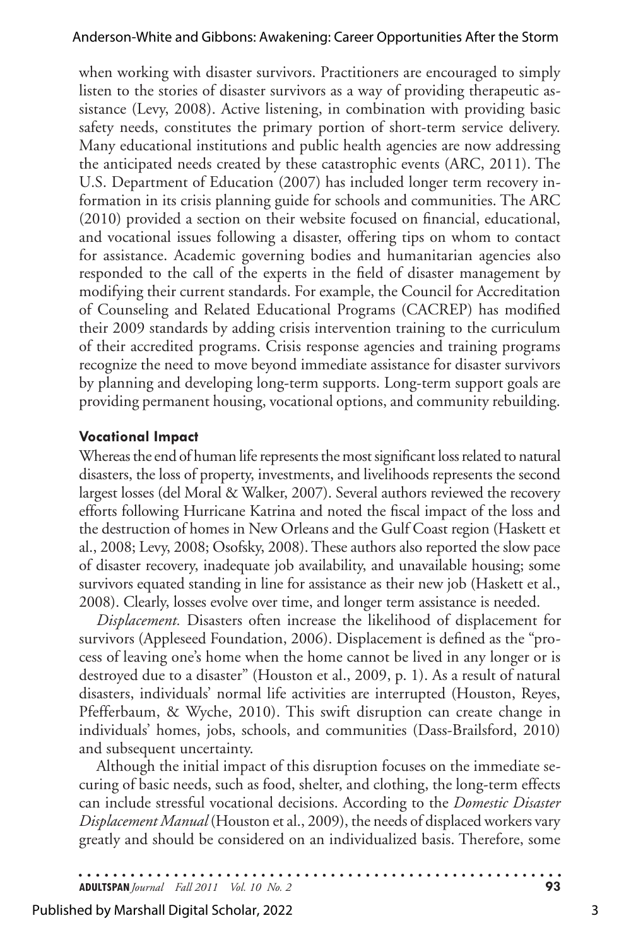when working with disaster survivors. Practitioners are encouraged to simply listen to the stories of disaster survivors as a way of providing therapeutic assistance (Levy, 2008). Active listening, in combination with providing basic safety needs, constitutes the primary portion of short-term service delivery. Many educational institutions and public health agencies are now addressing the anticipated needs created by these catastrophic events (ARC, 2011). The U.S. Department of Education (2007) has included longer term recovery information in its crisis planning guide for schools and communities. The ARC (2010) provided a section on their website focused on financial, educational, and vocational issues following a disaster, offering tips on whom to contact for assistance. Academic governing bodies and humanitarian agencies also responded to the call of the experts in the field of disaster management by modifying their current standards. For example, the Council for Accreditation of Counseling and Related Educational Programs (CACREP) has modified their 2009 standards by adding crisis intervention training to the curriculum of their accredited programs. Crisis response agencies and training programs recognize the need to move beyond immediate assistance for disaster survivors by planning and developing long-term supports. Long-term support goals are providing permanent housing, vocational options, and community rebuilding.

#### **Vocational Impact**

Whereas the end of human life represents the most significant loss related to natural disasters, the loss of property, investments, and livelihoods represents the second largest losses (del Moral & Walker, 2007). Several authors reviewed the recovery efforts following Hurricane Katrina and noted the fiscal impact of the loss and the destruction of homes in New Orleans and the Gulf Coast region (Haskett et al., 2008; Levy, 2008; Osofsky, 2008). These authors also reported the slow pace of disaster recovery, inadequate job availability, and unavailable housing; some survivors equated standing in line for assistance as their new job (Haskett et al., 2008). Clearly, losses evolve over time, and longer term assistance is needed.

*Displacement.* Disasters often increase the likelihood of displacement for survivors (Appleseed Foundation, 2006). Displacement is defined as the "process of leaving one's home when the home cannot be lived in any longer or is destroyed due to a disaster" (Houston et al., 2009, p. 1). As a result of natural disasters, individuals' normal life activities are interrupted (Houston, Reyes, Pfefferbaum, & Wyche, 2010). This swift disruption can create change in individuals' homes, jobs, schools, and communities (Dass-Brailsford, 2010) and subsequent uncertainty.

Although the initial impact of this disruption focuses on the immediate securing of basic needs, such as food, shelter, and clothing, the long-term effects can include stressful vocational decisions. According to the *Domestic Disaster Displacement Manual* (Houston et al., 2009), the needs of displaced workers vary greatly and should be considered on an individualized basis. Therefore, some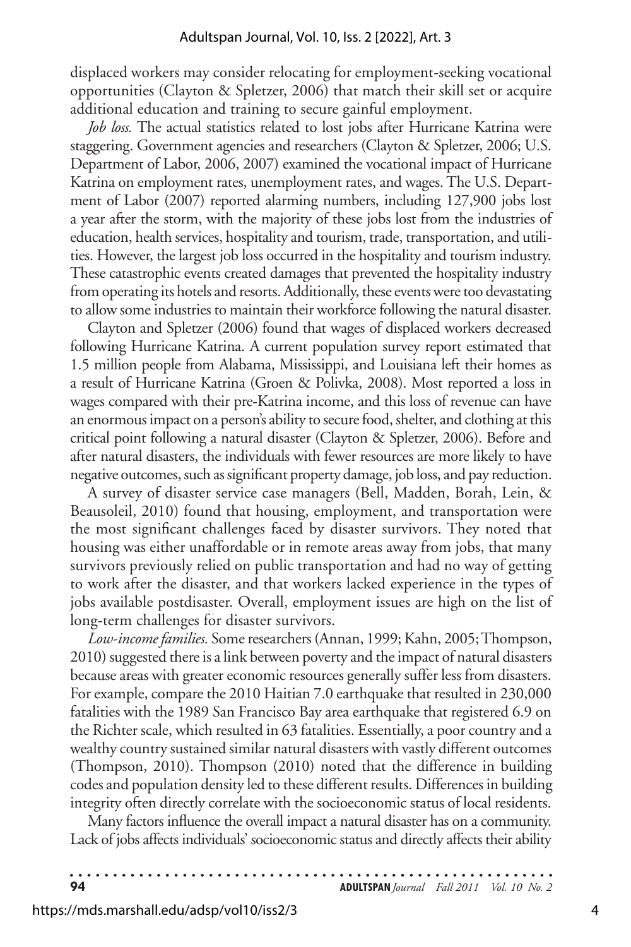#### Adultspan Journal, Vol. 10, Iss. 2 [2022], Art. 3

displaced workers may consider relocating for employment-seeking vocational opportunities (Clayton & Spletzer, 2006) that match their skill set or acquire additional education and training to secure gainful employment.

*Job loss.* The actual statistics related to lost jobs after Hurricane Katrina were staggering. Government agencies and researchers (Clayton & Spletzer, 2006; U.S. Department of Labor, 2006, 2007) examined the vocational impact of Hurricane Katrina on employment rates, unemployment rates, and wages. The U.S. Department of Labor (2007) reported alarming numbers, including 127,900 jobs lost a year after the storm, with the majority of these jobs lost from the industries of education, health services, hospitality and tourism, trade, transportation, and utilities. However, the largest job loss occurred in the hospitality and tourism industry. These catastrophic events created damages that prevented the hospitality industry from operating its hotels and resorts. Additionally, these events were too devastating to allow some industries to maintain their workforce following the natural disaster.

Clayton and Spletzer (2006) found that wages of displaced workers decreased following Hurricane Katrina. A current population survey report estimated that 1.5 million people from Alabama, Mississippi, and Louisiana left their homes as a result of Hurricane Katrina (Groen & Polivka, 2008). Most reported a loss in wages compared with their pre-Katrina income, and this loss of revenue can have an enormous impact on a person's ability to secure food, shelter, and clothing at this critical point following a natural disaster (Clayton & Spletzer, 2006). Before and after natural disasters, the individuals with fewer resources are more likely to have negative outcomes, such as significant property damage, job loss, and pay reduction.

A survey of disaster service case managers (Bell, Madden, Borah, Lein, & Beausoleil, 2010) found that housing, employment, and transportation were the most significant challenges faced by disaster survivors. They noted that housing was either unaffordable or in remote areas away from jobs, that many survivors previously relied on public transportation and had no way of getting to work after the disaster, and that workers lacked experience in the types of jobs available postdisaster. Overall, employment issues are high on the list of long-term challenges for disaster survivors.

*Low-income families.* Some researchers (Annan, 1999; Kahn, 2005; Thompson, 2010) suggested there is a link between poverty and the impact of natural disasters because areas with greater economic resources generally suffer less from disasters. For example, compare the 2010 Haitian 7.0 earthquake that resulted in 230,000 fatalities with the 1989 San Francisco Bay area earthquake that registered 6.9 on the Richter scale, which resulted in 63 fatalities. Essentially, a poor country and a wealthy country sustained similar natural disasters with vastly different outcomes (Thompson, 2010). Thompson (2010) noted that the difference in building codes and population density led to these different results. Differences in building integrity often directly correlate with the socioeconomic status of local residents.

Many factors influence the overall impact a natural disaster has on a community. Lack of jobs affects individuals' socioeconomic status and directly affects their ability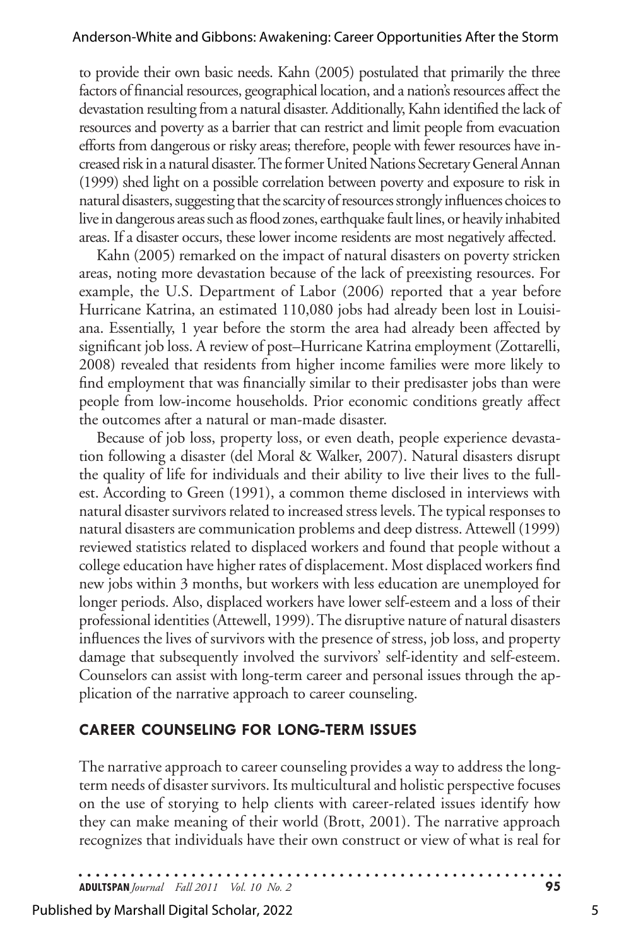to provide their own basic needs. Kahn (2005) postulated that primarily the three factors of financial resources, geographical location, and a nation's resources affect the devastation resulting from a natural disaster. Additionally, Kahn identified the lack of resources and poverty as a barrier that can restrict and limit people from evacuation efforts from dangerous or risky areas; therefore, people with fewer resources have increased risk in a natural disaster. The former United Nations Secretary General Annan (1999) shed light on a possible correlation between poverty and exposure to risk in natural disasters, suggesting that the scarcity of resources strongly influences choices to live in dangerous areas such as flood zones, earthquake fault lines, or heavily inhabited areas. If a disaster occurs, these lower income residents are most negatively affected.

Kahn (2005) remarked on the impact of natural disasters on poverty stricken areas, noting more devastation because of the lack of preexisting resources. For example, the U.S. Department of Labor (2006) reported that a year before Hurricane Katrina, an estimated 110,080 jobs had already been lost in Louisiana. Essentially, 1 year before the storm the area had already been affected by significant job loss. A review of post–Hurricane Katrina employment (Zottarelli, 2008) revealed that residents from higher income families were more likely to find employment that was financially similar to their predisaster jobs than were people from low-income households. Prior economic conditions greatly affect the outcomes after a natural or man-made disaster.

Because of job loss, property loss, or even death, people experience devastation following a disaster (del Moral & Walker, 2007). Natural disasters disrupt the quality of life for individuals and their ability to live their lives to the fullest. According to Green (1991), a common theme disclosed in interviews with natural disaster survivors related to increased stress levels. The typical responses to natural disasters are communication problems and deep distress. Attewell (1999) reviewed statistics related to displaced workers and found that people without a college education have higher rates of displacement. Most displaced workers find new jobs within 3 months, but workers with less education are unemployed for longer periods. Also, displaced workers have lower self-esteem and a loss of their professional identities (Attewell, 1999). The disruptive nature of natural disasters influences the lives of survivors with the presence of stress, job loss, and property damage that subsequently involved the survivors' self-identity and self-esteem. Counselors can assist with long-term career and personal issues through the application of the narrative approach to career counseling.

#### **Career Counseling for Long-Term Issues**

The narrative approach to career counseling provides a way to address the longterm needs of disaster survivors. Its multicultural and holistic perspective focuses on the use of storying to help clients with career-related issues identify how they can make meaning of their world (Brott, 2001). The narrative approach recognizes that individuals have their own construct or view of what is real for

**ADULTSPAN***Journal Fall 2011 Vol. 10 No. 2* **95**

#### Published by Marshall Digital Scholar, 2022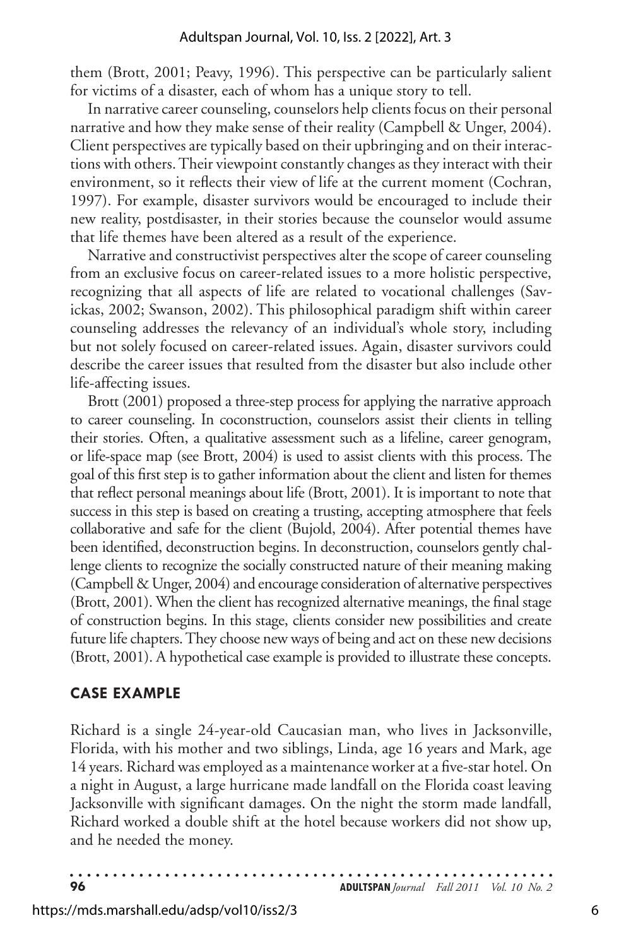them (Brott, 2001; Peavy, 1996). This perspective can be particularly salient for victims of a disaster, each of whom has a unique story to tell.

In narrative career counseling, counselors help clients focus on their personal narrative and how they make sense of their reality (Campbell & Unger, 2004). Client perspectives are typically based on their upbringing and on their interactions with others. Their viewpoint constantly changes as they interact with their environment, so it reflects their view of life at the current moment (Cochran, 1997). For example, disaster survivors would be encouraged to include their new reality, postdisaster, in their stories because the counselor would assume that life themes have been altered as a result of the experience.

Narrative and constructivist perspectives alter the scope of career counseling from an exclusive focus on career-related issues to a more holistic perspective, recognizing that all aspects of life are related to vocational challenges (Savickas, 2002; Swanson, 2002). This philosophical paradigm shift within career counseling addresses the relevancy of an individual's whole story, including but not solely focused on career-related issues. Again, disaster survivors could describe the career issues that resulted from the disaster but also include other life-affecting issues.

Brott (2001) proposed a three-step process for applying the narrative approach to career counseling. In coconstruction, counselors assist their clients in telling their stories. Often, a qualitative assessment such as a lifeline, career genogram, or life-space map (see Brott, 2004) is used to assist clients with this process. The goal of this first step is to gather information about the client and listen for themes that reflect personal meanings about life (Brott, 2001). It is important to note that success in this step is based on creating a trusting, accepting atmosphere that feels collaborative and safe for the client (Bujold, 2004). After potential themes have been identified, deconstruction begins. In deconstruction, counselors gently challenge clients to recognize the socially constructed nature of their meaning making (Campbell & Unger, 2004) and encourage consideration of alternative perspectives (Brott, 2001). When the client has recognized alternative meanings, the final stage of construction begins. In this stage, clients consider new possibilities and create future life chapters. They choose new ways of being and act on these new decisions (Brott, 2001). A hypothetical case example is provided to illustrate these concepts.

## **Case Example**

Richard is a single 24-year-old Caucasian man, who lives in Jacksonville, Florida, with his mother and two siblings, Linda, age 16 years and Mark, age 14 years. Richard was employed as a maintenance worker at a five-star hotel. On a night in August, a large hurricane made landfall on the Florida coast leaving Jacksonville with significant damages. On the night the storm made landfall, Richard worked a double shift at the hotel because workers did not show up, and he needed the money.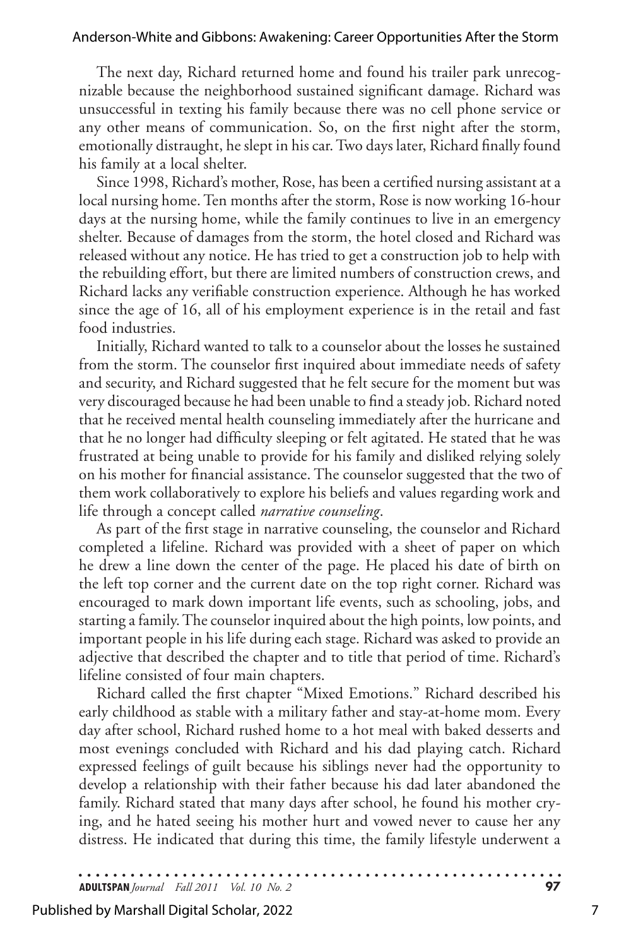The next day, Richard returned home and found his trailer park unrecognizable because the neighborhood sustained significant damage. Richard was unsuccessful in texting his family because there was no cell phone service or any other means of communication. So, on the first night after the storm, emotionally distraught, he slept in his car. Two days later, Richard finally found his family at a local shelter.

Since 1998, Richard's mother, Rose, has been a certified nursing assistant at a local nursing home. Ten months after the storm, Rose is now working 16-hour days at the nursing home, while the family continues to live in an emergency shelter. Because of damages from the storm, the hotel closed and Richard was released without any notice. He has tried to get a construction job to help with the rebuilding effort, but there are limited numbers of construction crews, and Richard lacks any verifiable construction experience. Although he has worked since the age of 16, all of his employment experience is in the retail and fast food industries.

Initially, Richard wanted to talk to a counselor about the losses he sustained from the storm. The counselor first inquired about immediate needs of safety and security, and Richard suggested that he felt secure for the moment but was very discouraged because he had been unable to find a steady job. Richard noted that he received mental health counseling immediately after the hurricane and that he no longer had difficulty sleeping or felt agitated. He stated that he was frustrated at being unable to provide for his family and disliked relying solely on his mother for financial assistance. The counselor suggested that the two of them work collaboratively to explore his beliefs and values regarding work and life through a concept called *narrative counseling*.

As part of the first stage in narrative counseling, the counselor and Richard completed a lifeline. Richard was provided with a sheet of paper on which he drew a line down the center of the page. He placed his date of birth on the left top corner and the current date on the top right corner. Richard was encouraged to mark down important life events, such as schooling, jobs, and starting a family. The counselor inquired about the high points, low points, and important people in his life during each stage. Richard was asked to provide an adjective that described the chapter and to title that period of time. Richard's lifeline consisted of four main chapters.

Richard called the first chapter "Mixed Emotions." Richard described his early childhood as stable with a military father and stay-at-home mom. Every day after school, Richard rushed home to a hot meal with baked desserts and most evenings concluded with Richard and his dad playing catch. Richard expressed feelings of guilt because his siblings never had the opportunity to develop a relationship with their father because his dad later abandoned the family. Richard stated that many days after school, he found his mother crying, and he hated seeing his mother hurt and vowed never to cause her any distress. He indicated that during this time, the family lifestyle underwent a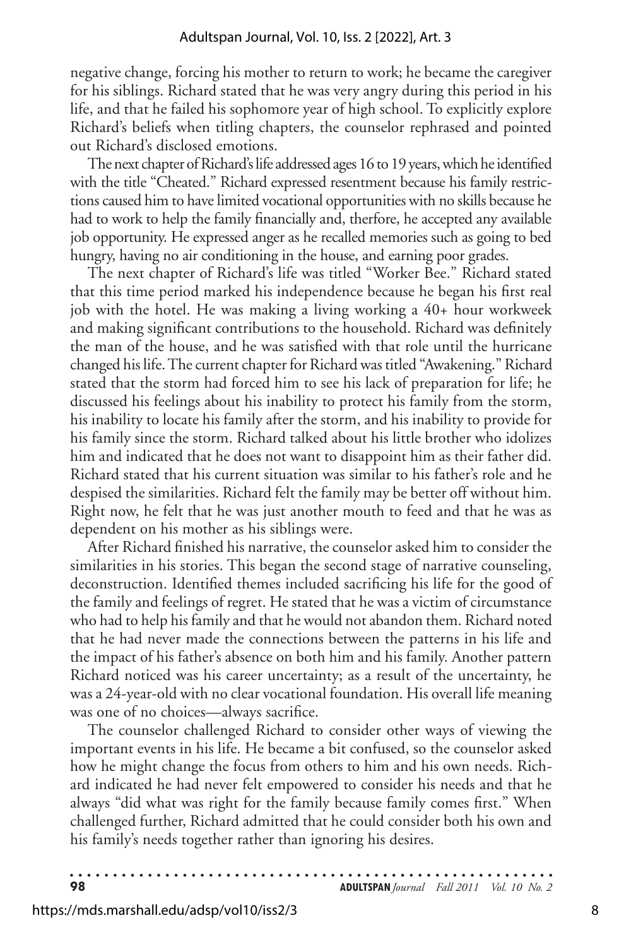negative change, forcing his mother to return to work; he became the caregiver for his siblings. Richard stated that he was very angry during this period in his life, and that he failed his sophomore year of high school. To explicitly explore Richard's beliefs when titling chapters, the counselor rephrased and pointed out Richard's disclosed emotions.

The next chapter of Richard's life addressed ages 16 to 19 years, which he identified with the title "Cheated." Richard expressed resentment because his family restrictions caused him to have limited vocational opportunities with no skills because he had to work to help the family financially and, therfore, he accepted any available job opportunity. He expressed anger as he recalled memories such as going to bed hungry, having no air conditioning in the house, and earning poor grades.

The next chapter of Richard's life was titled "Worker Bee." Richard stated that this time period marked his independence because he began his first real job with the hotel. He was making a living working a 40+ hour workweek and making significant contributions to the household. Richard was definitely the man of the house, and he was satisfied with that role until the hurricane changed his life. The current chapter for Richard was titled "Awakening." Richard stated that the storm had forced him to see his lack of preparation for life; he discussed his feelings about his inability to protect his family from the storm, his inability to locate his family after the storm, and his inability to provide for his family since the storm. Richard talked about his little brother who idolizes him and indicated that he does not want to disappoint him as their father did. Richard stated that his current situation was similar to his father's role and he despised the similarities. Richard felt the family may be better off without him. Right now, he felt that he was just another mouth to feed and that he was as dependent on his mother as his siblings were.

After Richard finished his narrative, the counselor asked him to consider the similarities in his stories. This began the second stage of narrative counseling, deconstruction. Identified themes included sacrificing his life for the good of the family and feelings of regret. He stated that he was a victim of circumstance who had to help his family and that he would not abandon them. Richard noted that he had never made the connections between the patterns in his life and the impact of his father's absence on both him and his family. Another pattern Richard noticed was his career uncertainty; as a result of the uncertainty, he was a 24-year-old with no clear vocational foundation. His overall life meaning was one of no choices—always sacrifice.

The counselor challenged Richard to consider other ways of viewing the important events in his life. He became a bit confused, so the counselor asked how he might change the focus from others to him and his own needs. Richard indicated he had never felt empowered to consider his needs and that he always "did what was right for the family because family comes first." When challenged further, Richard admitted that he could consider both his own and his family's needs together rather than ignoring his desires.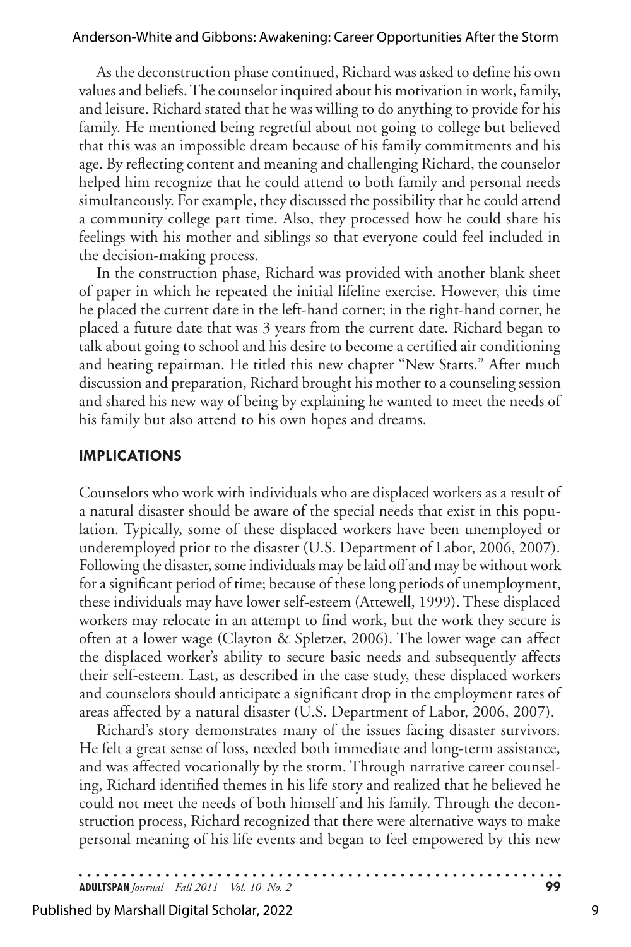As the deconstruction phase continued, Richard was asked to define his own values and beliefs. The counselor inquired about his motivation in work, family, and leisure. Richard stated that he was willing to do anything to provide for his family. He mentioned being regretful about not going to college but believed that this was an impossible dream because of his family commitments and his age. By reflecting content and meaning and challenging Richard, the counselor helped him recognize that he could attend to both family and personal needs simultaneously. For example, they discussed the possibility that he could attend a community college part time. Also, they processed how he could share his feelings with his mother and siblings so that everyone could feel included in the decision-making process.

In the construction phase, Richard was provided with another blank sheet of paper in which he repeated the initial lifeline exercise. However, this time he placed the current date in the left-hand corner; in the right-hand corner, he placed a future date that was 3 years from the current date. Richard began to talk about going to school and his desire to become a certified air conditioning and heating repairman. He titled this new chapter "New Starts." After much discussion and preparation, Richard brought his mother to a counseling session and shared his new way of being by explaining he wanted to meet the needs of his family but also attend to his own hopes and dreams.

#### **Implications**

Counselors who work with individuals who are displaced workers as a result of a natural disaster should be aware of the special needs that exist in this population. Typically, some of these displaced workers have been unemployed or underemployed prior to the disaster (U.S. Department of Labor, 2006, 2007). Following the disaster, some individuals may be laid off and may be without work for a significant period of time; because of these long periods of unemployment, these individuals may have lower self-esteem (Attewell, 1999). These displaced workers may relocate in an attempt to find work, but the work they secure is often at a lower wage (Clayton & Spletzer, 2006). The lower wage can affect the displaced worker's ability to secure basic needs and subsequently affects their self-esteem. Last, as described in the case study, these displaced workers and counselors should anticipate a significant drop in the employment rates of areas affected by a natural disaster (U.S. Department of Labor, 2006, 2007).

Richard's story demonstrates many of the issues facing disaster survivors. He felt a great sense of loss, needed both immediate and long-term assistance, and was affected vocationally by the storm. Through narrative career counseling, Richard identified themes in his life story and realized that he believed he could not meet the needs of both himself and his family. Through the deconstruction process, Richard recognized that there were alternative ways to make personal meaning of his life events and began to feel empowered by this new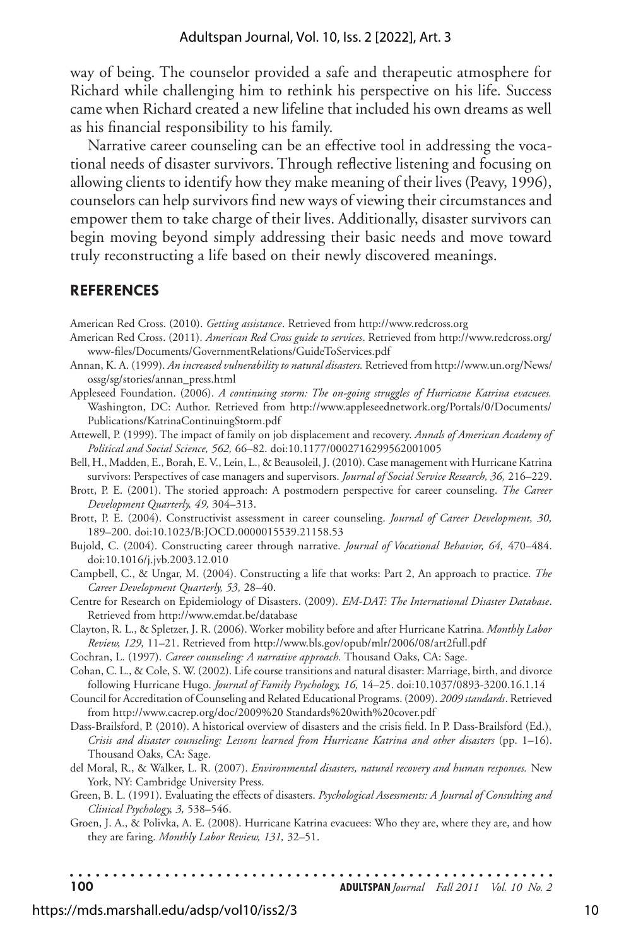way of being. The counselor provided a safe and therapeutic atmosphere for Richard while challenging him to rethink his perspective on his life. Success came when Richard created a new lifeline that included his own dreams as well as his financial responsibility to his family.

Narrative career counseling can be an effective tool in addressing the vocational needs of disaster survivors. Through reflective listening and focusing on allowing clients to identify how they make meaning of their lives (Peavy, 1996), counselors can help survivors find new ways of viewing their circumstances and empower them to take charge of their lives. Additionally, disaster survivors can begin moving beyond simply addressing their basic needs and move toward truly reconstructing a life based on their newly discovered meanings.

#### **References**

American Red Cross. (2010). *Getting assistance*. Retrieved from http://www.redcross.org

- American Red Cross. (2011). *American Red Cross guide to services*. Retrieved from http://www.redcross.org/ www-files/Documents/GovernmentRelations/GuideToServices.pdf
- Annan, K. A. (1999). *An increased vulnerability to natural disasters.* Retrieved from http://www.un.org/News/ ossg/sg/stories/annan\_press.html
- Appleseed Foundation. (2006). *A continuing storm: The on-going struggles of Hurricane Katrina evacuees.* Washington, DC: Author. Retrieved from http://www.appleseednetwork.org/Portals/0/Documents/ Publications/KatrinaContinuingStorm.pdf

Attewell, P. (1999). The impact of family on job displacement and recovery. *Annals of American Academy of Political and Social Science, 562,* 66–82. doi:10.1177/0002716299562001005

- Bell, H., Madden, E., Borah, E. V., Lein, L., & Beausoleil, J. (2010). Case management with Hurricane Katrina survivors: Perspectives of case managers and supervisors. *Journal of Social Service Research, 36,* 216–229.
- Brott, P. E. (2001). The storied approach: A postmodern perspective for career counseling. *The Career Development Quarterly, 49,* 304–313.

Brott, P. E. (2004). Constructivist assessment in career counseling. *Journal of Career Development, 30,* 189–200. doi:10.1023/B:JOCD.0000015539.21158.53

- Bujold, C. (2004). Constructing career through narrative. *Journal of Vocational Behavior, 64,* 470–484. doi:10.1016/j.jvb.2003.12.010
- Campbell, C., & Ungar, M. (2004). Constructing a life that works: Part 2, An approach to practice. *The Career Development Quarterly, 53,* 28–40.

Centre for Research on Epidemiology of Disasters. (2009). *EM-DAT: The International Disaster Database*. Retrieved from http://www.emdat.be/database

Clayton, R. L., & Spletzer, J. R. (2006). Worker mobility before and after Hurricane Katrina. *Monthly Labor Review, 129,* 11–21. Retrieved from http://www.bls.gov/opub/mlr/2006/08/art2full.pdf

Cochran, L. (1997). *Career counseling: A narrative approach.* Thousand Oaks, CA: Sage.

Cohan, C. L., & Cole, S. W. (2002). Life course transitions and natural disaster: Marriage, birth, and divorce following Hurricane Hugo. *Journal of Family Psychology, 16,* 14–25. doi:10.1037/0893-3200.16.1.14

Council for Accreditation of Counseling and Related Educational Programs. (2009). *2009 standards*. Retrieved from http://www.cacrep.org/doc/2009%20 Standards%20with%20cover.pdf

Dass-Brailsford, P. (2010). A historical overview of disasters and the crisis field. In P. Dass-Brailsford (Ed.), *Crisis and disaster counseling: Lessons learned from Hurricane Katrina and other disasters* (pp. 1–16). Thousand Oaks, CA: Sage.

del Moral, R., & Walker, L. R. (2007). *Environmental disasters, natural recovery and human responses.* New York, NY: Cambridge University Press.

Green, B. L. (1991). Evaluating the effects of disasters. *Psychological Assessments: A Journal of Consulting and Clinical Psychology, 3,* 538–546.

Groen, J. A., & Polivka, A. E. (2008). Hurricane Katrina evacuees: Who they are, where they are, and how they are faring. *Monthly Labor Review, 131,* 32–51.

. . . . . . . . . . . . . **100 ADULTSPAN***Journal Fall 2011 Vol. 10 No. 2*